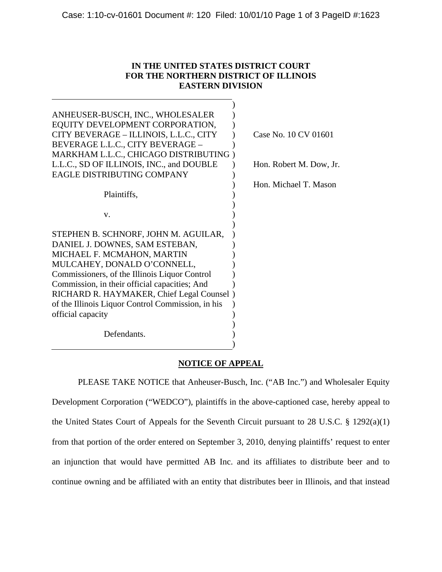## **IN THE UNITED STATES DISTRICT COURT FOR THE NORTHERN DISTRICT OF ILLINOIS EASTERN DIVISION**

| ANHEUSER-BUSCH, INC., WHOLESALER<br>EQUITY DEVELOPMENT CORPORATION,<br>CITY BEVERAGE - ILLINOIS, L.L.C., CITY<br>BEVERAGE L.L.C., CITY BEVERAGE -<br>MARKHAM L.L.C., CHICAGO DISTRIBUTING)<br>L.L.C., SD OF ILLINOIS, INC., and DOUBLE<br>EAGLE DISTRIBUTING COMPANY | Case No. 10 CV 01601<br>Hon. Robert M. Dow, Jr.<br>Hon. Michael T. Mason |
|----------------------------------------------------------------------------------------------------------------------------------------------------------------------------------------------------------------------------------------------------------------------|--------------------------------------------------------------------------|
| Plaintiffs,                                                                                                                                                                                                                                                          |                                                                          |
| v.                                                                                                                                                                                                                                                                   |                                                                          |
| STEPHEN B. SCHNORF, JOHN M. AGUILAR,                                                                                                                                                                                                                                 |                                                                          |
| DANIEL J. DOWNES, SAM ESTEBAN,                                                                                                                                                                                                                                       |                                                                          |
| MICHAEL F. MCMAHON, MARTIN                                                                                                                                                                                                                                           |                                                                          |
| MULCAHEY, DONALD O'CONNELL,                                                                                                                                                                                                                                          |                                                                          |
| Commissioners, of the Illinois Liquor Control                                                                                                                                                                                                                        |                                                                          |
| Commission, in their official capacities; And                                                                                                                                                                                                                        |                                                                          |
| RICHARD R. HAYMAKER, Chief Legal Counsel)                                                                                                                                                                                                                            |                                                                          |
| of the Illinois Liquor Control Commission, in his                                                                                                                                                                                                                    |                                                                          |
| official capacity                                                                                                                                                                                                                                                    |                                                                          |
| Defendants.                                                                                                                                                                                                                                                          |                                                                          |

## **NOTICE OF APPEAL**

 PLEASE TAKE NOTICE that Anheuser-Busch, Inc. ("AB Inc.") and Wholesaler Equity Development Corporation ("WEDCO"), plaintiffs in the above-captioned case, hereby appeal to the United States Court of Appeals for the Seventh Circuit pursuant to 28 U.S.C. § 1292(a)(1) from that portion of the order entered on September 3, 2010, denying plaintiffs' request to enter an injunction that would have permitted AB Inc. and its affiliates to distribute beer and to continue owning and be affiliated with an entity that distributes beer in Illinois, and that instead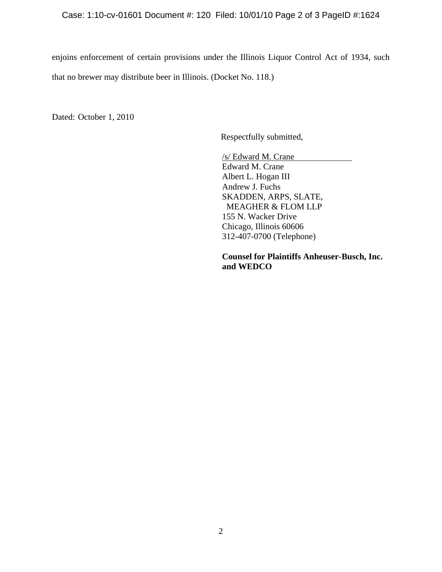## Case: 1:10-cv-01601 Document #: 120 Filed: 10/01/10 Page 2 of 3 PageID #:1624

enjoins enforcement of certain provisions under the Illinois Liquor Control Act of 1934, such that no brewer may distribute beer in Illinois. (Docket No. 118.)

Dated: October 1, 2010

Respectfully submitted,

/s/ Edward M. Crane Edward M. Crane Albert L. Hogan III Andrew J. Fuchs SKADDEN, ARPS, SLATE, MEAGHER & FLOM LLP 155 N. Wacker Drive Chicago, Illinois 60606 312-407-0700 (Telephone)

**Counsel for Plaintiffs Anheuser-Busch, Inc. and WEDCO**